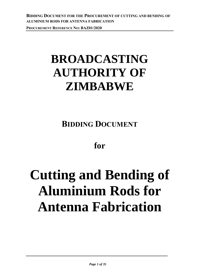# **BROADCASTING AUTHORITY OF ZIMBABWE**

**BIDDING DOCUMENT**

# **for**

# **Cutting and Bending of Aluminium Rods for Antenna Fabrication**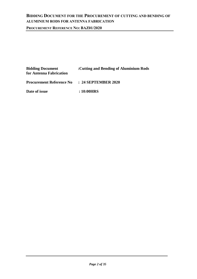**PROCUREMENT REFERENCE NO: BAZ01/2020**

| <b>Bidding Document</b><br>for Antenna Fabrication | : Cutting and Bending of Aluminium Rods |
|----------------------------------------------------|-----------------------------------------|
| <b>Procurement Reference No</b>                    | $: 24$ SEPTEMBER 2020                   |
| Date of issue                                      | : 10:00HRS                              |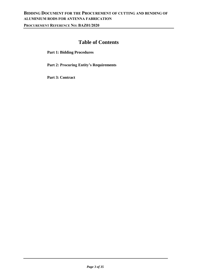**PROCUREMENT REFERENCE NO: BAZ01/2020**

# **Table of Contents**

**Part 1: Bidding Procedures** 

**Part 2: Procuring Entity's Requirements** 

**Part 3: Contract**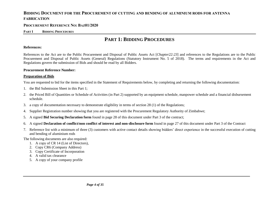#### **PROCUREMENT REFERENCE NO: BAZ01/2020**

#### **PART I BIDDING PROCEDURES**

# **PART 1: BIDDING PROCEDURES**

#### **References:**

References to the Act are to the Public Procurement and Disposal of Public Assets Act [*Chapter22:23*] and references to the Regulations are to the Public Procurement and Disposal of Public Assets (General) Regulations (Statutory Instrument No. 5 of 2018). The terms and requirements in the Act and Regulations govern the submission of Bids and should be read by all Bidders.

#### **Procurement Reference Number:**

#### **Preparation of Bids**

You are requested to bid for the items specified in the Statement of Requirements below, by completing and returning the following documentation:

- 1. the Bid Submission Sheet in this Part 1;
- 2. the Priced Bill of Quantities or Schedule of Activities (in Part 2) supported by an equipment schedule, manpower schedule and a financial disbursement schedule.
- 3. a copy of documentation necessary to demonstrate eligibility in terms of section 28 (1) of the Regulations;
- 4. Supplier Registration number showing that you are registered with the Procurement Regulatory Authority of Zimbabwe;
- 5. A signed **Bid Securing Declaration form** found in page 28 of this document under Part 3 of the contract;
- 6. A signed **Declaration of conflict/non conflict of interest and non-disclosure form** found in page 27 of this document under Part 3 of the Contract
- 7. Reference list with a minimum of three (3) customers with active contact details showing bidders' direct experience in the successful execution of cutting and bending of aluminium rods
- The following documents are also required:
	- 1. A copy of CR 14 (List of Directors),
	- 2. Copy CR6 (Company Address)
	- 3. Copy Certificate of Incorporation
	- 4. A valid tax clearance
	- 5. A copy of your company profile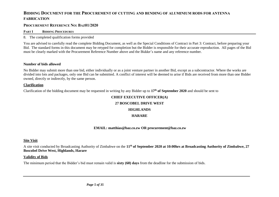#### **PROCUREMENT REFERENCE NO: BAZ01/2020**

**PART I BIDDING PROCEDURES**

#### 8. The completed qualification forms provided

You are advised to carefully read the complete Bidding Document, as well as the Special Conditions of Contract in Part 3: Contract, before preparing your Bid. The standard forms in this document may be retyped for completion but the Bidder is responsible for their accurate reproduction. All pages of the Bid must be clearly marked with the Procurement Reference Number above and the Bidder's name and any reference number.

#### **Number of bids allowed**

No Bidder may submit more than one bid, either individually or as a joint venture partner in another Bid, except as a subcontractor. Where the works are divided into lots and packages, only one Bid can be submitted. A conflict of interest will be deemed to arise if Bids are received from more than one Bidder owned, directly or indirectly, by the same person.

#### **Clarification**

Clarification of the bidding document may be requested in writing by any Bidder up to **17th of September 2020** and should be sent to

# **CHIEF EXECUTIVE OFFICER(A) 27 BOSCOBEL DRIVE WEST HIGHLANDS HARARE**

#### **EMAIL: matthias@baz.co.zw OR procurement@baz.co.zw**

#### **Site Visit**

A site visit conducted by Broadcasting Authority of Zimbabwe on the **11th of September 2020 at 10:00hrs at Broadcasting Authority of Zimbabwe, 27 Boscobel Drive West, Highlands, Harare**

#### **Validity of Bids**

The minimum period that the Bidder's bid must remain valid is **sixty (60) days** from the deadline for the submission of bids.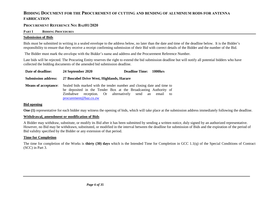#### **PROCUREMENT REFERENCE NO: BAZ01/2020**

#### **PART I BIDDING PROCEDURES**

#### **Submission of Bids**

Bids must be submitted in writing in a sealed envelope to the address below, no later than the date and time of the deadline below. It is the Bidder's responsibility to ensure that they receive a receipt confirming submission of their Bid with correct details of the Bidder and the number of the Bid.

The Bidder must mark the envelope with the Bidder's name and address and the Procurement Reference Number.

Late bids will be rejected. The Procuring Entity reserves the right to extend the bid submission deadline but will notify all potential bidders who have collected the bidding documents of the amended bid submission deadline.

**Date of deadline:** 24 September 2020 **Deadline Time:** 1000hrs **Submission address: 27 Boscobel Drive West, Highlands, Harare Means of acceptance**: Sealed bids marked with the tender number and closing date and time to be deposited in the Tender Box at the Broadcasting Authority of Zimbabwe reception. Or alternatively send an email to [procurement@baz.co.zw](mailto:procurement@baz.co.zw)

#### **Bid opening**

**One (1)** representative for each bidder may witness the opening of bids, which will take place at the submission address immediately following the deadline.

#### **Withdrawal, amendment or modification of Bids**

A Bidder may withdraw, substitute, or modify its Bid after it has been submitted by sending a written notice, duly signed by an authorized representative. However, no Bid may be withdrawn, substituted, or modified in the interval between the deadline for submission of Bids and the expiration of the period of Bid validity specified by the Bidder or any extension of that period.

#### **Time for Completion**

The time for completion of the Works is **thirty (30) days** which is the Intended Time for Completion in GCC 1.1(q) of the Special Conditions of Contract (SCC) in Part 3.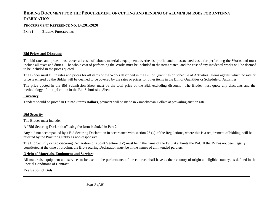#### **PROCUREMENT REFERENCE NO: BAZ01/2020**

**PART I BIDDING PROCEDURES**

#### **Bid Prices and Discounts**

The bid rates and prices must cover all costs of labour, materials, equipment, overheads, profits and all associated costs for performing the Works and must include all taxes and duties. The whole cost of performing the Works must be included in the items stated, and the cost of any incidental works will be deemed to be included in the prices quoted.

The Bidder must fill in rates and prices for all items of the Works described in the Bill of Quantities or Schedule of Activities. Items against which no rate or price is entered by the Bidder will be deemed to be covered by the rates or prices for other items in the Bill of Quantities or Schedule of Activities.

The price quoted in the Bid Submission Sheet must be the total price of the Bid, excluding discount. The Bidder must quote any discounts and the methodology of its application in the Bid Submission Sheet.

#### **Currency**

Tenders should be priced in **United States Dollars**, payment will be made in Zimbabwean Dollars at prevailing auction rate.

#### **Bid Security**

The Bidder must include:

A "Bid-Securing Declaration" using the form included in Part 2.

Any bid not accompanied by a Bid Securing Declaration in accordance with section 26 (4) of the Regulations, where this is a requirement of bidding, will be rejected by the Procuring Entity as non-responsive.

The Bid Security or Bid-Securing Declaration of a Joint Venture (JV) must be in the name of the JV that submits the Bid. If the JV has not been legally constituted at the time of bidding, the Bid-Securing Declaration must be in the names of all intended partners.

#### **Origin of Materials, Equipment and Services:**

All materials, equipment and services to be used in the performance of the contract shall have as their country of origin an eligible country, as defined in the Special Conditions of Contract.

#### **Evaluation of Bids**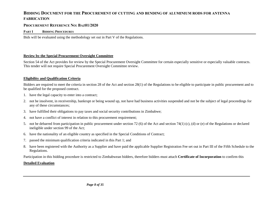#### **PROCUREMENT REFERENCE NO: BAZ01/2020**

#### **PART I BIDDING PROCEDURES**

Bids will be evaluated using the methodology set out in Part V of the Regulations.

#### **Review by the Special Procurement Oversight Committee**

Section 54 of the Act provides for review by the Special Procurement Oversight Committee for certain especially sensitive or especially valuable contracts. This tender will not require Special Procurement Oversight Committee review.

#### **Eligibility and Qualification Criteria**

Bidders are required to meet the criteria in section 28 of the Act and section 28(1) of the Regulations to be eligible to participate in public procurement and to be qualified for the proposed contract.

- 1. have the legal capacity to enter into a contract;
- 2. not be insolvent, in receivership, bankrupt or being wound up, not have had business activities suspended and not be the subject of legal proceedings for any of these circumstances;
- 3. have fulfilled their obligations to pay taxes and social security contributions in Zimbabwe;
- 4. not have a conflict of interest in relation to this procurement requirement;
- 5. not be debarred from participation in public procurement under section 72 (6) of the Act and section 74(1) (c), (d) or (e) of the Regulations or declared ineligible under section 99 of the Act;
- 6. have the nationality of an eligible country as specified in the Special Conditions of Contract;
- 7. passed the minimum qualification criteria indicated in this Part 1; and
- 8. have been registered with the Authority as a Supplier and have paid the applicable Supplier Registration Fee set out in Part III of the Fifth Schedule to the Regulations.

Participation in this bidding procedure is restricted to Zimbabwean bidders, therefore bidders must attach **Certificate of Incorporation** to confirm this

#### **Detailed Evaluation**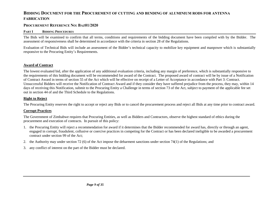#### **PROCUREMENT REFERENCE NO: BAZ01/2020**

#### **PART I BIDDING PROCEDURES**

The Bids will be examined to confirm that all terms, conditions and requirements of the bidding document have been compiled with by the Bidder. The assessment of responsiveness shall be determined in accordance with the criteria in section 28 of the Regulations.

Evaluation of Technical Bids will include an assessment of the Bidder's technical capacity to mobilize key equipment and manpower which is substantially responsive to the Procuring Entity's Requirements.

#### **Award of Contract**

The lowest evaluated bid, after the application of any additional evaluation criteria, including any margin of preference, which is substantially responsive to the requirements of this bidding document will be recommended for award of the Contract. The proposed award of contract will be by issue of a Notification of Contract Award in terms of section 55 of the Act which will be effective on receipt of a Letter of Acceptance in accordance with Part 3: Contract. Unsuccessful Bidders will receive the Notification of Contract Award and if they consider they have suffered prejudice from the process, they may, within 14 days of receiving this Notification, submit to the Procuring Entity a Challenge in terms of section 73 of the Act, subject to payment of the applicable fee set out in section 44 of and the Third Schedule to the Regulations.

#### **Right to Reject**

The Procuring Entity reserves the right to accept or reject any Bids or to cancel the procurement process and reject all Bids at any time prior to contract award.

#### **Corrupt Practices**

The Government of Zimbabwe requires that Procuring Entities, as well as Bidders and Contractors, observe the highest standard of ethics during the procurement and execution of contracts. In pursuit of this policy:

- 1. the Procuring Entity will reject a recommendation for award if it determines that the Bidder recommended for award has, directly or through an agent, engaged in corrupt, fraudulent, collusive or coercive practices in competing for the Contract or has been declared ineligible to be awarded a procurement contract under section 99 of the Act;
- 2. the Authority may under section 72 (6) of the Act impose the debarment sanctions under section 74(1) of the Regulations; and
- 3. any conflict of interest on the part of the Bidder must be declared.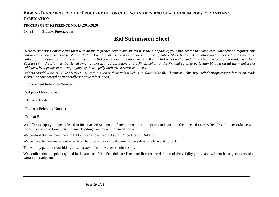#### **PROCUREMENT REFERENCE NO: BAZ01/2020**

#### **PART I BIDDING PROCEDURES**

# **Bid Submission Sheet**

*{Note to Bidders: Complete this form with all the requested details and submit it as the first page of your Bid. Attach the completed Statement of Requirements and any other documents requested in Part 1. Ensure that your Bid is authorised in the signature block below. A signature and authorisation on this form will confirm that the terms and conditions of this Bid prevail over any attachments. If your Bid is not authorised, it may be rejected. If the Bidder is a Joint Venture (JV), the Bid must be signed by an authorized representative of the JV on behalf of the JV, and so as to be legally binding on all the members as evidenced by a power of attorney signed by their legally authorized representatives.* 

*Bidders should mark as "CONFIDENTIAL" information in their Bids which is confidential to their business. This may include proprietary information, trade secrets, or commercial or financially sensitive information.}* 

Procurement Reference Number:

Subject of Procurement:

Name of Bidder

Bidder's Reference Number:

Date of Bid:

We offer to supply the items listed in the attached Statement of Requirements, at the prices indicated on the attached Price Schedule and in accordance with the terms and conditions stated in your Bidding Document referenced above.

We confirm that we meet the eligibility criteria specified in Part 1: Procedures of Bidding.

We declare that we are not debarred from bidding and that the documents we submit are true and correct.

The validity period of our bid is: ………*{days}* from the date of submission.

We confirm that the prices quoted in the attached Price Schedule are fixed and firm for the duration of the validity period and will not be subject to revision, variation or adjustment.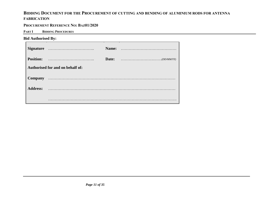#### **PROCUREMENT REFERENCE NO: BAZ01/2020**

**PART I BIDDING PROCEDURES**

#### **Bid Authorised By:**

| <b>Signature</b> |                                  | Name: |                                                                                           |
|------------------|----------------------------------|-------|-------------------------------------------------------------------------------------------|
| <b>Position:</b> |                                  | Date: | $\ldots \ldots \ldots \ldots \ldots \ldots \ldots \ldots \ldots \ldots \ldots (DD/MM/YY)$ |
|                  | Authorised for and on behalf of: |       |                                                                                           |
| <b>Company</b>   |                                  |       |                                                                                           |
| <b>Address:</b>  |                                  |       |                                                                                           |
|                  |                                  |       |                                                                                           |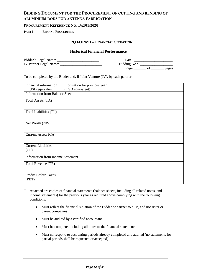#### **PROCUREMENT REFERENCE NO: BAZ01/2020**

**PART I BIDDING PROCEDURES**

#### **PQ FORM 1 – FINANCIAL SITUATION**

#### **Historical Financial Performance**

| Bidder's Legal Name:   | Date:        |       |
|------------------------|--------------|-------|
| JV Partner Legal Name: | Bidding No.: |       |
|                        | Page         | pages |

To be completed by the Bidder and, if Joint Venture (JV), by each partner

| Financial information                    | Information for previous year |  |  |  |
|------------------------------------------|-------------------------------|--|--|--|
| in USD equivalent                        | (USD equivalent)              |  |  |  |
| <b>Information from Balance Sheet</b>    |                               |  |  |  |
| Total Assets (TA)                        |                               |  |  |  |
| Total Liabilities (TL)                   |                               |  |  |  |
| Net Worth (NW)                           |                               |  |  |  |
| Current Assets (CA)                      |                               |  |  |  |
| <b>Current Liabilities</b><br>CL)        |                               |  |  |  |
| <b>Information from Income Statement</b> |                               |  |  |  |
| Total Revenue (TR)                       |                               |  |  |  |
| <b>Profits Before Taxes</b><br>(PBT)     |                               |  |  |  |

- Attached are copies of financial statements (balance sheets, including all related notes, and income statements) for the previous year as required above complying with the following conditions:
	- Must reflect the financial situation of the Bidder or partner to a JV, and not sister or parent companies
	- Must be audited by a certified accountant
	- Must be complete, including all notes to the financial statements
	- Must correspond to accounting periods already completed and audited (no statements for partial periods shall be requested or accepted)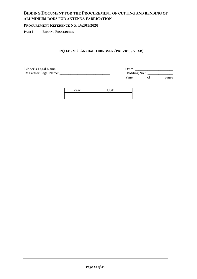#### **PROCUREMENT REFERENCE NO: BAZ01/2020**

**PART I BIDDING PROCEDURES**

## **PQ FORM 2. ANNUAL TURNOVER (PREVIOUS YEAR)**

| Bidder's Legal Name:          | )ate:        |
|-------------------------------|--------------|
| <b>JV Partner Legal Name:</b> | Bidding No.: |

| Bidder's Legal Name:   | Date:        |       |
|------------------------|--------------|-------|
| JV Partner Legal Name: | Bidding No.: |       |
|                        | Page         | pages |

| ear | $\overline{z}$<br>TV. |
|-----|-----------------------|
|     |                       |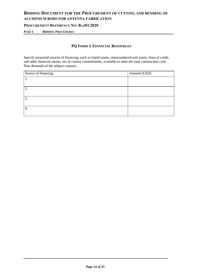#### **PROCUREMENT REFERENCE NO: BAZ01/2020**

**PART I BIDDING PROCEDURES**

# **PQ FORM 3. FINANCIAL RESOURCES**

Specify proposed sources of financing, such as liquid assets, unencumbered real assets, lines of credit, and other financial means, net of current commitments, available to meet the total construction cash flow demands of the subject contract.

| Source of financing | Amount (USD) |
|---------------------|--------------|
|                     |              |
|                     |              |
| 2.                  |              |
|                     |              |
| 3.                  |              |
|                     |              |
| 4.                  |              |
|                     |              |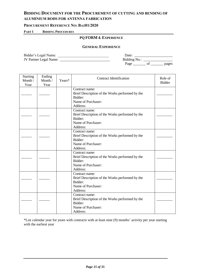#### **PROCUREMENT REFERENCE NO: BAZ01/2020**

#### **PART I BIDDING PROCEDURES**

#### **PQ FORM 4. EXPERIENCE**

#### **GENERAL EXPERIENCE**

Bidder's Legal Name: \_\_\_\_\_\_\_\_\_\_\_\_\_\_\_\_\_\_\_\_\_\_\_\_\_\_\_\_ Date: \_\_\_\_\_\_\_\_\_\_\_\_\_\_\_\_\_\_\_\_\_ JV Partner Legal Name: \_\_\_\_\_\_\_\_\_\_\_\_\_\_\_\_\_\_\_\_\_\_\_\_\_\_\_\_ Bidding No.: \_\_\_\_\_\_\_\_\_\_\_\_\_\_\_\_

| Date:        |    |       |
|--------------|----|-------|
| Bidding No.: |    |       |
| Page         | Ωt | pages |

| <b>Starting</b><br>Month /<br>Year | Ending<br>Month /<br>Year | Years* | <b>Contract Identification</b>                                                                                 | Role of<br><b>Bidder</b> |
|------------------------------------|---------------------------|--------|----------------------------------------------------------------------------------------------------------------|--------------------------|
|                                    |                           |        | Contract name:<br>Brief Description of the Works performed by the<br>Bidder:<br>Name of Purchaser:<br>Address: |                          |
|                                    |                           |        | Contract name:<br>Brief Description of the Works performed by the<br>Bidder:<br>Name of Purchaser:<br>Address: |                          |
|                                    |                           |        | Contract name:<br>Brief Description of the Works performed by the<br>Bidder:<br>Name of Purchaser:<br>Address: |                          |
|                                    |                           |        | Contract name:<br>Brief Description of the Works performed by the<br>Bidder:<br>Name of Purchaser:<br>Address: |                          |
|                                    |                           |        | Contract name:<br>Brief Description of the Works performed by the<br>Bidder:<br>Name of Purchaser:<br>Address: |                          |
|                                    |                           |        | Contract name:<br>Brief Description of the Works performed by the<br>Bidder:<br>Name of Purchaser:<br>Address: |                          |

\*List calendar year for years with contracts with at least nine (9) months' activity per year starting with the earliest year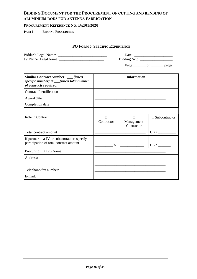#### **PROCUREMENT REFERENCE NO: BAZ01/2020**

#### **PART I BIDDING PROCEDURES**

## **PQ FORM 5. SPECIFIC EXPERIENCE**

| Bidder's Legal Name:   | Date:        |
|------------------------|--------------|
| JV Partner Legal Name: | Bidding No.: |

| . . |  | nages |
|-----|--|-------|
| -   |  |       |

| Similar Contract Number: __ [insert<br>specific number] of ____[insert total number<br>of contracts required. | <b>Information</b> |                          |                      |
|---------------------------------------------------------------------------------------------------------------|--------------------|--------------------------|----------------------|
| <b>Contract Identification</b>                                                                                |                    |                          |                      |
| Award date                                                                                                    |                    |                          |                      |
| Completion date                                                                                               |                    |                          |                      |
|                                                                                                               |                    |                          |                      |
| Role in Contract                                                                                              | Contractor         | Management<br>Contractor | $\Box$ Subcontractor |
| Total contract amount                                                                                         |                    |                          | <b>UGX</b>           |
| If partner in a JV or subcontractor, specify<br>participation of total contract amount                        | $\%$               |                          | <b>UGX</b>           |
| Procuring Entity's Name:                                                                                      |                    |                          |                      |
| Address:                                                                                                      |                    |                          |                      |
|                                                                                                               |                    |                          |                      |
| Telephone/fax number:                                                                                         |                    |                          |                      |
| E-mail:                                                                                                       |                    |                          |                      |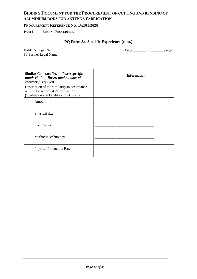#### **PROCUREMENT REFERENCE NO: BAZ01/2020**

#### **PART I BIDDING PROCEDURES**

## **PQ Form 5a. Specific Experience (cont.)**

| Bidder's Legal Name:          | Page | pages |
|-------------------------------|------|-------|
| <b>JV Partner Legal Name:</b> |      |       |

| Similar Contract No. __ <i>[insert specific</i><br>number] of ____[insert total number of<br>contracts] required                  | <b>Information</b> |  |
|-----------------------------------------------------------------------------------------------------------------------------------|--------------------|--|
| Description of the similarity in accordance<br>with Sub-Factor 2.4.2a) of Section III<br>(Evaluation and Qualification Criteria): |                    |  |
| Amount                                                                                                                            |                    |  |
| Physical size                                                                                                                     |                    |  |
| Complexity                                                                                                                        |                    |  |
| Methods/Technology                                                                                                                |                    |  |
| <b>Physical Production Rate</b>                                                                                                   |                    |  |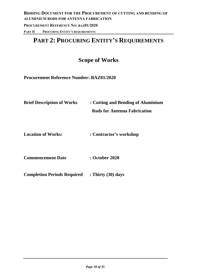# **PART 2: PROCURING ENTITY'S REQUIREMENTS**

# **Scope of Works**

**Procurement Reference Number: BAZ01/2020**

**Brief Description of Works : Cutting and Bending of Aluminium** 

 **Rods for Antenna Fabrication**

**Location of Works: : Contractor's workshop**

**Commencement Date : October 2020**

**Completion Periods Required : Thirty (30) days**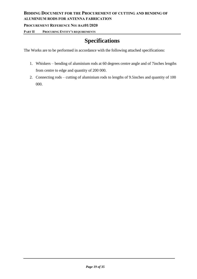**PROCUREMENT REFERENCE NO: BAZ01/2020**

**PART II PROCURING ENTITY'S REQUIREMENTS**

# **Specifications**

The Works are to be performed in accordance with the following attached specifications:

- 1. Whiskers bending of aluminium rods at 60 degrees centre angle and of 7inches lengths from centre to edge and quantity of 200 000.
- 2. Connecting rods cutting of aluminium rods to lengths of 9.5inches and quantity of 100 000.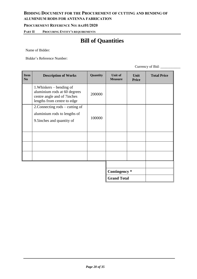# **BIDDING DOCUMENT FOR THE PROCUREMENT OF CUTTING AND BENDING OF**

# **ALUMINIUM RODS FOR ANTENNA FABRICATION**

#### **PROCUREMENT REFERENCE NO: BAZ01/2020**

**PART II PROCURING ENTITY'S REQUIREMENTS**

# **Bill of Quantities**

Name of Bidder:

Bidder's Reference Number:

Currency of Bid: \_\_\_\_\_\_\_\_\_\_\_

| <b>Item</b><br>N <sub>0</sub> | <b>Description of Works</b>                                                                                            | Quantity | <b>Unit of</b><br><b>Measure</b>    | Unit<br><b>Price</b> | <b>Total Price</b> |
|-------------------------------|------------------------------------------------------------------------------------------------------------------------|----------|-------------------------------------|----------------------|--------------------|
|                               | 1. Whiskers – bending of<br>aluminium rods at 60 degrees<br>centre angle and of 7inches<br>lengths from centre to edge | 200000   |                                     |                      |                    |
|                               | 2. Connecting rods – cutting of<br>aluminium rods to lengths of<br>9.5 inches and quantity of                          | 100000   |                                     |                      |                    |
|                               |                                                                                                                        |          |                                     |                      |                    |
|                               |                                                                                                                        |          | Contingency *<br><b>Grand Total</b> |                      |                    |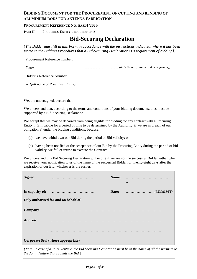#### **PROCUREMENT REFERENCE NO: BAZ01/2020**

#### **PART II PROCURING ENTITY'S REQUIREMENTS**

# **Bid-Securing Declaration**

*{The Bidder must fill in this Form in accordance with the instructions indicated, where it has been stated in the Bidding Procedures that a Bid-Securing Declaration is a requirement of bidding}.*

Procurement Reference number:

Date: *…………………..………….[date (in day, month and year format)]*

Bidder's Reference Number:

To: *{full name of Procuring Entity}*

We, the undersigned, declare that:

We understand that, according to the terms and conditions of your bidding documents, bids must be supported by a Bid-Securing Declaration.

We accept that we may be debarred from being eligible for bidding for any contract with a Procuring Entity in Zimbabwe for a period of time to be determined by the Authority*,* if we are in breach of our obligation(s) under the bidding conditions, because:

- (a) we have withdrawn our Bid during the period of Bid validity; or
- (b) having been notified of the acceptance of our Bid by the Procuring Entity during the period of bid validity, we fail or refuse to execute the Contract.

We understand this Bid Securing Declaration will expire if we are not the successful Bidder, either when we receive your notification to us of the name of the successful Bidder; or twenty-eight days after the expiration of our Bid, whichever is the earlier.

| <b>Signed</b>   |                                       | Name: | . |
|-----------------|---------------------------------------|-------|---|
| In capacity of: |                                       |       |   |
|                 | Duly authorised for and on behalf of: |       |   |
| <b>Company</b>  |                                       |       |   |
| <b>Address:</b> |                                       |       |   |
|                 |                                       |       |   |
|                 | Corporate Seal (where appropriate)    |       |   |

*{Note: In case of a Joint Venture, the Bid Securing Declaration must be in the name of all the partners to the Joint Venture that submits the Bid.}*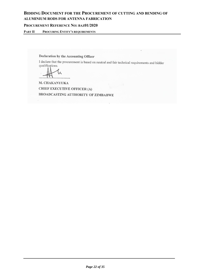#### **PROCUREMENT REFERENCE NO: BAZ01/2020**

**PART II PROCURING ENTITY'S REQUIREMENTS**

Declaration by the Accounting Officer

I declare that the procurement is based on neutral and fair technical requirements and bidder qualifications.

M. CHAKANYUKA **CHIEF EXECUTIVE OFFICER (A)** BROADCASTING AUTHORITY OF ZIMBABWE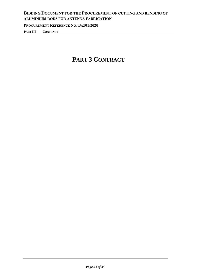# **BIDDING DOCUMENT FOR THE PROCUREMENT OF CUTTING AND BENDING OF ALUMINIUM RODS FOR ANTENNA FABRICATION PROCUREMENT REFERENCE NO: BAZ01/2020 PART III CONTRACT**

# **PART 3 CONTRACT**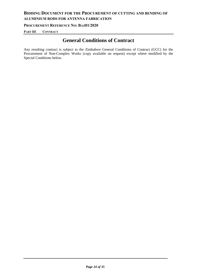**PROCUREMENT REFERENCE NO: BAZ01/2020**

**PART III CONTRACT**

# **General Conditions of Contract**

Any resulting contract is subject to the Zimbabwe General Conditions of Contract (GCC) for the Procurement of Non-Complex Works (copy available on request) except where modified by the Special Conditions below.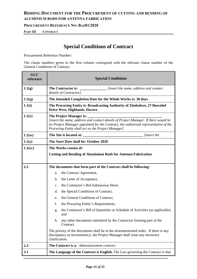**PROCUREMENT REFERENCE NO: BAZ01/2020**

**PART III CONTRACT**

# **Special Conditions of Contract**

Procurement Reference Number:

The clause numbers given in the first column correspond with the relevant clause number of the General Conditions of Contract.

| GCC<br>reference | <b>Special Conditions</b>                                                                                                                                                                                                                                   |  |
|------------------|-------------------------------------------------------------------------------------------------------------------------------------------------------------------------------------------------------------------------------------------------------------|--|
| 1.1(g)           | The Contractor is:<br><i>insert the name, address and contact (insert the name, address and contact</i><br>details of Contractor].                                                                                                                          |  |
| 1.1(q)           | The Intended Completion Date for the Whole Works is: 30 days                                                                                                                                                                                                |  |
| 1.1(t)           | The Procuring Entity is: Broadcasting Authority of Zimbabwe, 27 Boscobel<br>Drive West, Highlands, Harare                                                                                                                                                   |  |
| 1.1(v)           | The Project Manager is:<br>[insert the name, address and contact details of Project Manager. If there would be<br>no Project Manager appointed for the Contract, the authorised representative of the<br>Procuring Entity shall act as the Project Manager] |  |
| 1.1(w)           | The Site is located at:<br><i>linsert the</i>                                                                                                                                                                                                               |  |
| 1.1(z)           | The Start Date shall be: October 2020                                                                                                                                                                                                                       |  |
| $1.1$ (cc)       | The Works consist of:                                                                                                                                                                                                                                       |  |
|                  | <b>Cutting and Bending of Aluminium Rods for Antenna Fabrication</b>                                                                                                                                                                                        |  |
| 2.2              | The documents that form part of the Contract shall be following:                                                                                                                                                                                            |  |
|                  | the Contract Agreement,<br>a.                                                                                                                                                                                                                               |  |
|                  | the Letter of Acceptance,<br>b.                                                                                                                                                                                                                             |  |
|                  | the Contractor's Bid Submission Sheet,<br>c.                                                                                                                                                                                                                |  |
|                  | the Special Conditions of Contract,<br>d.                                                                                                                                                                                                                   |  |
|                  | the General Conditions of Contract,<br>e.                                                                                                                                                                                                                   |  |
|                  | f.<br>the Procuring Entity's Requirements,                                                                                                                                                                                                                  |  |
|                  | the Contractor's Bill of Quantities or Schedule of Activities (as applicable),<br>g.<br>and                                                                                                                                                                 |  |
|                  | any other documents submitted by the Contractor forming part of the<br>h.<br>Contract.                                                                                                                                                                      |  |
|                  | The priority of the documents shall be in the aforementioned order. If there is any<br>discrepancy or inconsistency, the Project Manager shall issue any necessary<br>clarification.                                                                        |  |
| 2.3              | The Contract is a: Admeasurement contract                                                                                                                                                                                                                   |  |
| 3.1              | The Language of the Contract is English. The Law governing the Contract is that                                                                                                                                                                             |  |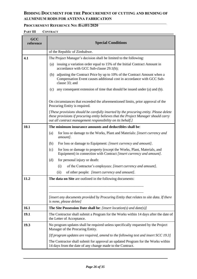#### **PROCUREMENT REFERENCE NO: BAZ01/2020**

**PART III CONTRACT**

| GCC<br>reference | <b>Special Conditions</b>                                                                                                                                                                                                                  |
|------------------|--------------------------------------------------------------------------------------------------------------------------------------------------------------------------------------------------------------------------------------------|
|                  | of the Republic of Zimbabwe.                                                                                                                                                                                                               |
| 4.1              | The Project Manager's decision shall be limited to the following:                                                                                                                                                                          |
|                  | issuing a variation order equal to 15% of the Initial Contract Amount in<br>(a)<br>accordance with GCC Sub-clause 29.1(b);                                                                                                                 |
|                  | (b) adjusting the Contract Price by up to 10% of the Contract Amount when a<br>Compensation Event causes additional cost in accordance with GCC Sub-<br>clause 33; and                                                                     |
|                  | any consequent extension of time that should be issued under (a) and (b).<br>(c)                                                                                                                                                           |
|                  | On circumstances that exceeded the aforementioned limits, prior approval of the<br>Procuring Entity is required.                                                                                                                           |
|                  | [These provisions should be carefully inserted by the procuring entity. Please delete<br>these provisions if procuring entity believes that the Project Manager should carry<br>out all contract management responsibility on its behalf.] |
| 10.1             | The minimum insurance amounts and deductibles shall be:                                                                                                                                                                                    |
|                  | for loss or damage to the Works, Plant and Materials: [insert currency and<br>(a)<br>amount].                                                                                                                                              |
|                  | (b)<br>For loss or damage to Equipment: [insert currency and amount].                                                                                                                                                                      |
|                  | for loss or damage to property (except the Works, Plant, Materials, and<br>(c)<br>Equipment) in connection with Contract [insert currency and amount].                                                                                     |
|                  | for personal injury or death:<br>(d)                                                                                                                                                                                                       |
|                  | of the Contractor's employees: [insert currency and amount].<br>(i)                                                                                                                                                                        |
|                  | (ii)<br>of other people: [insert currency and amount].                                                                                                                                                                                     |
| 11.2             | The data on Site are outlined in the following documents:                                                                                                                                                                                  |
|                  |                                                                                                                                                                                                                                            |
|                  | [insert any documents provided by Procuring Entity that relates to site data. If there<br>is none, please delete]                                                                                                                          |
| 16.1             | <b>The Site Possession Date shall be:</b> [insert location(s) and date(s)]                                                                                                                                                                 |
| 19.1             | The Contractor shall submit a Program for the Works within 14 days after the date of<br>the Letter of Acceptance.                                                                                                                          |
| 19.3             | No program updates shall be required unless specifically requested by the Project<br>Manager of the Procuring Entity.                                                                                                                      |
|                  | [If program updates are required, amend to the following text and insert SCC 19.3]                                                                                                                                                         |
|                  | The Contractor shall submit for approval an updated Program for the Works within<br>14 days from the date of any change made to the Contract.                                                                                              |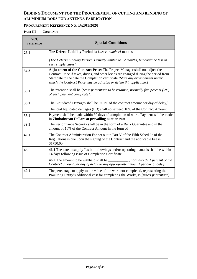#### **PROCUREMENT REFERENCE NO: BAZ01/2020**

**PART III CONTRACT**

| GCC<br>reference | <b>Special Conditions</b>                                                                                                                                                                                                                                                                                                    |
|------------------|------------------------------------------------------------------------------------------------------------------------------------------------------------------------------------------------------------------------------------------------------------------------------------------------------------------------------|
| 26.1             | The Defects Liability Period is: [insert number] months.                                                                                                                                                                                                                                                                     |
|                  | [The Defects Liability Period is usually limited to 12 months, but could be less in<br>very simple cases]                                                                                                                                                                                                                    |
| 34.2             | Adjustment of the Contract Price: The Project Manager shall not adjust the<br>Contract Price if taxes, duties, and other levies are changed during the period from<br>Start date to the date the Completion certificate [State any arrangement under<br>which the Contract Price may be adjusted or delete if inapplicable.] |
| 35.1             | The retention shall be [State percentage to be retained, normally five percent $(5%)$<br>of each payment certificate].                                                                                                                                                                                                       |
| 36.1             | The Liquidated Damages shall be 0.01% of the contract amount per day of delay).                                                                                                                                                                                                                                              |
|                  | The total liquidated damages (LD) shall not exceed 10% of the Contract Amount.                                                                                                                                                                                                                                               |
| 38.1             | Payment shall be made within 30 days of completion of work. Payment will be made<br>in Zimbabwean Dollars at prevailing auction rate.                                                                                                                                                                                        |
| 39.1             | The Performance Security shall be in the form of a Bank Guarantee and in the<br>amount of 10% of the Contract Amount in the form of                                                                                                                                                                                          |
| 42.1             | The Contract Administration Fee set out in Part V of the Fifth Schedule of the<br>Regulations is due upon the signing of the Contract and the applicable Fee is<br>\$1750.00.                                                                                                                                                |
| 46               | 46.1 The date to supply "as-built drawings and/or operating manuals shall be within<br>14 days following issue of Completion Certificate.                                                                                                                                                                                    |
|                  | <b>46.2</b> The amount to be withheld shall be _________________ <i>[normally 0.01 percent of the</i><br>Contract amount per day of delay or any appropriate amount] per day of delay.                                                                                                                                       |
| 49.1             | The percentage to apply to the value of the work not completed, representing the<br>Procuring Entity's additional cost for completing the Works, is [insert percentage].                                                                                                                                                     |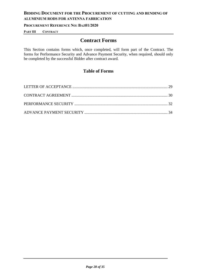#### **PROCUREMENT REFERENCE NO: BAZ01/2020**

**PART III CONTRACT**

# **Contract Forms**

This Section contains forms which, once completed, will form part of the Contract. The forms for Performance Security and Advance Payment Security, when required, should only be completed by the successful Bidder after contract award.

# **Table of Forms**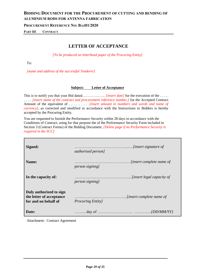**PROCUREMENT REFERENCE NO: BAZ01/2020**

<span id="page-28-0"></span>**PART III CONTRACT**

# **LETTER OF ACCEPTANCE**

*[To be produced on letterhead paper of the Procuring Entity]*

To:

*[name and address of the successful Tenderer]*

#### **Subject: Letter of Acceptance**

This is to notify you that your Bid dated……………... *[insert date]* for the execution of the ..... . . . . *.[insert name of the contract and procurement reference number,]* for the Accepted Contract Amount of the equivalent of . . . . . . . . *.[insert amount in numbers and words and name of currency]*, as corrected and modified in accordance with the Instructions to Bidders is hereby accepted by the Procuring Entity.

You are requested to furnish the Performance Security within 28 days in accordance with the Conditions of Contract, using for that purpose the of the Performance Security Form included in Section 3 (Contract Forms) of the Bidding Document. *[Delete page if no Performance Security is required in the SCC]*

| Signed:                                                                     | <i>authorised person]</i> |
|-----------------------------------------------------------------------------|---------------------------|
| Name:                                                                       | <i>person signing</i>     |
| In the capacity of:                                                         | <i>person signing</i>     |
| Duly authorized to sign<br>the letter of acceptance<br>for and on behalf of | <i>Procuring Entity</i>   |
| Date:                                                                       |                           |

Attachment: Contract Agreement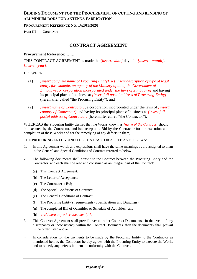**PROCUREMENT REFERENCE NO: BAZ01/2020**

<span id="page-29-0"></span>**PART III CONTRACT**

# **CONTRACT AGREEMENT**

#### **Procurement Reference:…….**

THIS CONTRACT AGREEMENT is made the *[insert: date]* day of *[insert: month]*, *[insert: year]*.

#### **BETWEEN**

- (1) *[insert complete name of Procuring Entity]*, a *[ insert description of type of legal entity, for example, an agency of the Ministry of .... of the Government of Zimbabwe, or corporation incorporated under the laws of Zimbabwe]* and having its principal place of business at *[insert full postal address of Procuring Entity]* (hereinafter called "the Procuring Entity"), and
- (2) *[insert name of Contractor]*, a corporation incorporated under the laws of *[insert: country of Contractor]* and having its principal place of business at *[insert full postal address of Contractor]* (hereinafter called "the Contractor").

WHEREAS the Procuring Entity desires that the Works known as *[name of the Contract]* should be executed by the Contractor, and has accepted a Bid by the Contractor for the execution and completion of these Works and for the remedying of any defects in them,

THE PROCURING ENTITY AND THE CONTRACTOR AGREE AS FOLLOWS:

- 1. In this Agreement words and expressions shall have the same meanings as are assigned to them in the General and Special Conditions of Contract referred to below.
- 2. The following documents shall constitute the Contract between the Procuring Entity and the Contractor, and each shall be read and construed as an integral part of the Contract:
	- (a) This Contract Agreement;
	- (b) The Letter of Acceptance;
	- (c) The Contractor's Bid;
	- (d) The Special Conditions of Contract;
	- (e) The General Conditions of Contract;
	- (f) The Procuring Entity's requirements (Specifications and Drawings);
	- (g) The completed Bill of Quantities or Schedule of Activities; and
	- (h) *[Add here any other document(s)].*
- 3. This Contract Agreement shall prevail over all other Contract Documents. In the event of any discrepancy or inconsistency within the Contract Documents, then the documents shall prevail in the order listed above.
- 4. In consideration for the payments to be made by the Procuring Entity to the Contractor as mentioned below, the Contractor hereby agrees with the Procuring Entity to execute the Works and to remedy any defects in them in conformity with the Contract.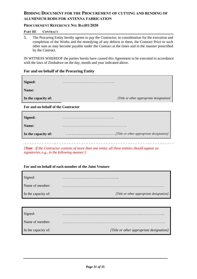#### **PROCUREMENT REFERENCE NO: BAZ01/2020**

#### **PART III CONTRACT**

5. The Procuring Entity hereby agrees to pay the Contractor, in consideration for the execution and completion of the Works and the remedying of any defects in them, the Contract Price or such other sum as may become payable under the Contract at the times and in the manner prescribed by the Contract.

IN WITNESS WHEREOF the parties hereto have caused this Agreement to be executed in accordance with the laws of Zimbabwe on the day, month and year indicated above.

#### **For and on behalf of the Procuring Entity**

| Signed:                             |                                          |
|-------------------------------------|------------------------------------------|
| Name:                               |                                          |
| In the capacity of:                 | [Title or other appropriate designation] |
| For and on behalf of the Contractor |                                          |

#### **For and on behalf of the Contractor**

| Signed:             |  |
|---------------------|--|
| <b>Name:</b>        |  |
| In the capacity of: |  |

*[Note: If the Contractor consists of more than one entity, all these entities should appear as signatories, e.g., in the following manner:]*

#### **For and on behalf of each member of the Joint Venture**

| Signed:             |                                          |
|---------------------|------------------------------------------|
| Name of member:     |                                          |
| In the capacity of: | [Title or other appropriate designation] |

| Signed:             | .                                        |
|---------------------|------------------------------------------|
| Name of member:     |                                          |
| In the capacity of: | [Title or other appropriate designation] |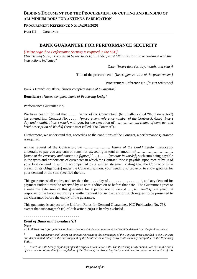**PROCUREMENT REFERENCE NO: BAZ01/2020**

**PART III CONTRACT**

## **BANK GUARANTEE FOR PERFORMANCE SECURITY**

<span id="page-31-0"></span>*[Delete page if no Performance Security is required in the SCC]*

*[The issuing bank, as requested by the successful Bidder, must fill in this form in accordance with the instructions indicated]* 

Date: *[insert date (as day, month, and year)]*

Title of the procurement: *[Insert general title of the procurement]*

Procurement Reference No: *[insert reference]*

Bank's Branch or Office: *[insert complete name of Guarantor]*

**Beneficiary:** *[insert complete name of Procuring Entity]*

Performance Guarantee No:

We have been informed that …….. *[name of the Contractor],* (hereinafter called "the Contractor") has entered into Contract No. . . . . . *[procurement reference number of the Contract].* dated *[insert day and month], [insert year]*, with you, for the execution of ……………….. *[name of contract and brief description of Works]* (hereinafter called "the Contract").

Furthermore, we understand that, according to the conditions of the Contract, a performance guarantee is required.

At the request of the Contractor, we …………………. *[name of the Bank]* hereby irrevocably undertake to pay you any sum or sums not exceeding in total an amount of ………………………… *[name of the currency and amount in figures] <sup>1</sup>….* (. . . . . *[amount in words]*) such sum being payable in the types and proportions of currencies in which the Contract Price is payable, upon receipt by us of your first demand in writing accompanied by a written statement stating that the Contractor is in breach of its obligation(s) under the Contract, without your needing to prove or to show grounds for your demand or the sum specified therein.

This guarantee shall expire, no later than the . . . . . day of . . . . . . . . . . , . . . . . . *2* , and any demand for payment under it must be received by us at this office on or before that date. The Guarantor agrees to a one-time extension of this guarantee for a period not to exceed ….*[six months][one year],* in response to the Procuring Entity's written request for such extension, such request to be presented to the Guarantor before the expiry of the guarantee.

This guarantee is subject to the Uniform Rules for Demand Guarantees, ICC Publication No. 758, except that subparagraph (ii) of Sub-article 20(a) is hereby excluded.

#### . . . . . . . . . . . . . . . . . . . . . . . . . . . .

#### *[Seal of Bank and Signature(s)]*

**Note –**

*All italicized text is for guidance on how to prepare this demand guarantee and shall be deleted from the final document.*

*<sup>1</sup> The Guarantor shall insert an amount representing the percentage of the Contract Price specified in the Contract and denominated either in the currency(ies) of the Contract or a freely convertible currency acceptable to the Procuring Entity.*

*2 Insert the date twenty-eight days after the expected completion date. The Procuring Entity should note that in the event of an extension of the time for completion of the Contract, the Procuring Entity would need to request an extension of this*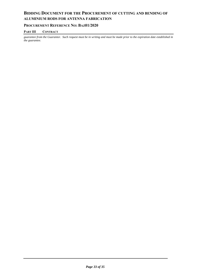#### **PROCUREMENT REFERENCE NO: BAZ01/2020**

#### **PART III CONTRACT**

*guarantee from the Guarantor. Such request must be in writing and must be made prior to the expiration date established in the guarantee.*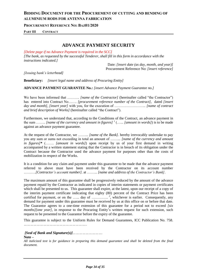**PROCUREMENT REFERENCE NO: BAZ01/2020**

**PART III CONTRACT**

## **ADVANCE PAYMENT SECURITY**

<span id="page-33-0"></span>*[Delete page if no Advance Payment is required in the SCC]*

*[The bank, as requested by the successful Tenderer, shall fill in this form in accordance with the instructions indicated.]* 

> Date: *[insert date (as day, month, and year)]* Procurement Reference No: *[insert reference]*

*[Issuing bank's letterhead]* 

**Beneficiary:** *[insert legal name and address of Procuring Entity]*

**ADVANCE PAYMENT GUARANTEE No.:** *[insert Advance Payment Guarantee no.]*

We have been informed that ………. *[name of the Contractor]* (hereinafter called "the Contractor") has entered into Contract No……. *[procurement reference number of the Contract],* dated *[insert day and month], [insert year]* with you, for the execution of …………………….. *[name of contract and brief description of Works]* (hereinafter called "the Contract").

Furthermore, we understand that, according to the Conditions of the Contract, an advance payment in the sum …….. *[name of the currency and amount in figures] <sup>1</sup>* (…... *[amount in words]*) is to be made against an advance payment guarantee.

At the request of the Contractor, we ……... *[name of the Bank].* hereby irrevocably undertake to pay you any sum or sums not exceeding in total an amount of ……... *[name of the currency and amount in figures]\** (……. *[amount in words]*) upon receipt by us of your first demand in writing accompanied by a written statement stating that the Contractor is in breach of its obligation under the Contract because the Contractor used the advance payment for purposes other than the costs of mobilization in respect of the Works.

It is a condition for any claim and payment under this guarantee to be made that the advance payment referred to above must have been received by the Contractor on its account number ……….*[Contractor's account number].* at ……... *[name and address of the Contractor's Bank]*.

The maximum amount of this guarantee shall be progressively reduced by the amount of the advance payment repaid by the Contractor as indicated in copies of interim statements or payment certificates which shall be presented to us. This guarantee shall expire, at the latest, upon our receipt of a copy of the interim payment certificate indicating that eighty (80) percent of the Contract Price has been certified for payment, or on the ...... day of ................<sup>2</sup>, whichever is earlier. Consequently, any demand for payment under this guarantee must be received by us at this office on or before that date. The Guarantor agrees to a one-time extension of this guarantee for a period not to exceed *[six months][one year]*, in response to the Procuring Entity's written request for such extension, such request to be presented to the Guarantor before the expiry of the guarantee.

This guarantee is subject to the Uniform Rules for Demand Guarantees, ICC Publication No. 758. *…………………………………………………..*

*[Seal of Bank and Signature(s)]……………………….* 

**Note –**

*All italicized text is for guidance in preparing this demand guarantee and shall be deleted from the final document.*